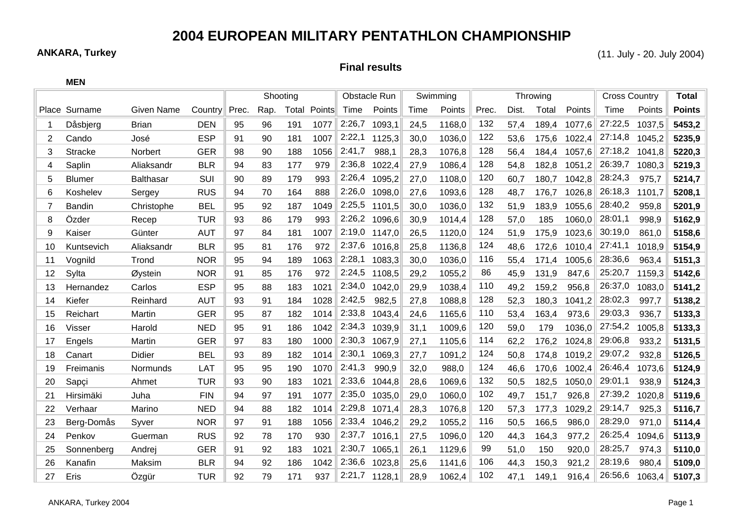## **2004 EUROPEAN MILITARY PENTATHLON CHAMPIONSHIP**

**ANKARA, Turkey** (11. July - 20. July 2004)

**Final results**

|    | <b>MEN</b>     |                  |            |          |      |       |        |              |        |          |        |       |          |                      |              |         |        |               |
|----|----------------|------------------|------------|----------|------|-------|--------|--------------|--------|----------|--------|-------|----------|----------------------|--------------|---------|--------|---------------|
|    |                |                  |            | Shooting |      |       |        | Obstacle Run |        | Swimming |        |       | Throwing | <b>Cross Country</b> | <b>Total</b> |         |        |               |
|    | Place Surname  | Given Name       | Country    | Prec.    | Rap. | Total | Points | Time         | Points | Time     | Points | Prec. | Dist.    | Total                | Points       | Time    | Points | <b>Points</b> |
|    | Dåsbjerg       | <b>Brian</b>     | <b>DEN</b> | 95       | 96   | 191   | 1077   | 2:26,7       | 1093,1 | 24,5     | 1168,0 | 132   | 57,4     | 189,4                | 1077,6       | 27:22,5 | 1037,5 | 5453,2        |
| 2  | Cando          | José             | <b>ESP</b> | 91       | 90   | 181   | 1007   | 2:22,1       | 1125,3 | 30,0     | 1036,0 | 122   | 53,6     | 175,6                | 1022,4       | 27:14,8 | 1045,2 | 5235,9        |
| 3  | <b>Stracke</b> | Norbert          | <b>GER</b> | 98       | 90   | 188   | 1056   | 2:41,7       | 988,1  | 28,3     | 1076,8 | 128   | 56,4     | 184,4                | 1057,6       | 27:18,2 | 1041,8 | 5220,3        |
| 4  | Saplin         | Aliaksandr       | <b>BLR</b> | 94       | 83   | 177   | 979    | 2:36,8       | 1022,4 | 27,9     | 1086,4 | 128   | 54,8     | 182,8                | 1051,2       | 26:39,7 | 1080,3 | 5219,3        |
| 5  | <b>Blumer</b>  | <b>Balthasar</b> | SUI        | 90       | 89   | 179   | 993    | 2:26,4       | 1095,2 | 27,0     | 1108,0 | 120   | 60,7     | 180,7                | 1042,8       | 28:24,3 | 975,7  | 5214,7        |
| 6  | Koshelev       | Sergey           | <b>RUS</b> | 94       | 70   | 164   | 888    | 2:26,0       | 1098,0 | 27,6     | 1093,6 | 128   | 48,7     | 176,7                | 1026,8       | 26:18,3 | 1101,7 | 5208,1        |
| 7  | <b>Bandin</b>  | Christophe       | <b>BEL</b> | 95       | 92   | 187   | 1049   | 2:25,5       | 1101,5 | 30,0     | 1036,0 | 132   | 51,9     | 183,9                | 1055,6       | 28:40,2 | 959.8  | 5201,9        |
| 8  | Özder          | Recep            | <b>TUR</b> | 93       | 86   | 179   | 993    | 2:26,2       | 1096,6 | 30,9     | 1014,4 | 128   | 57,0     | 185                  | 1060,0       | 28:01,1 | 998.9  | 5162,9        |
| 9  | Kaiser         | Günter           | <b>AUT</b> | 97       | 84   | 181   | 1007   | 2:19,0       | 1147,0 | 26,5     | 1120,0 | 124   | 51,9     | 175,9                | 1023,6       | 30:19,0 | 861,0  | 5158,6        |
| 10 | Kuntsevich     | Aliaksandr       | <b>BLR</b> | 95       | 81   | 176   | 972    | 2:37,6       | 1016,8 | 25,8     | 1136,8 | 124   | 48,6     | 172,6                | 1010,4       | 27:41,1 | 1018,9 | 5154,9        |
| 11 | Vognild        | Trond            | <b>NOR</b> | 95       | 94   | 189   | 1063   | 2:28,1       | 1083,3 | 30,0     | 1036,0 | 116   | 55,4     | 171,4                | 1005,6       | 28:36,6 | 963,4  | 5151,3        |
| 12 | Sylta          | Øystein          | <b>NOR</b> | 91       | 85   | 176   | 972    | 2:24,5       | 1108,5 | 29,2     | 1055,2 | 86    | 45,9     | 131,9                | 847,6        | 25:20,7 | 1159,3 | 5142,6        |
| 13 | Hernandez      | Carlos           | <b>ESP</b> | 95       | 88   | 183   | 1021   | 2:34,0       | 1042,0 | 29,9     | 1038,4 | 110   | 49,2     | 159,2                | 956,8        | 26:37,0 | 1083,0 | 5141,2        |
| 14 | Kiefer         | Reinhard         | <b>AUT</b> | 93       | 91   | 184   | 1028   | 2:42,5       | 982,5  | 27,8     | 1088,8 | 128   | 52,3     | 180,3                | 1041,2       | 28:02,3 | 997,7  | 5138,2        |
| 15 | Reichart       | Martin           | <b>GER</b> | 95       | 87   | 182   | 1014   | 2:33,8       | 1043,4 | 24,6     | 1165,6 | 110   | 53,4     | 163,4                | 973,6        | 29:03,3 | 936,7  | 5133,3        |
| 16 | Visser         | Harold           | <b>NED</b> | 95       | 91   | 186   | 1042   | 2:34,3       | 1039,9 | 31,1     | 1009,6 | 120   | 59,0     | 179                  | 1036,0       | 27:54,2 | 1005,8 | 5133,3        |
| 17 | Engels         | Martin           | <b>GER</b> | 97       | 83   | 180   | 1000   | 2:30,3       | 1067,9 | 27,1     | 1105,6 | 114   | 62,2     | 176,2                | 1024,8       | 29:06,8 | 933,2  | 5131,5        |
| 18 | Canart         | Didier           | <b>BEL</b> | 93       | 89   | 182   | 1014   | 2:30,1       | 1069,3 | 27,7     | 1091,2 | 124   | 50,8     | 174,8                | 1019,2       | 29:07,2 | 932.8  | 5126,5        |
| 19 | Freimanis      | Normunds         | <b>LAT</b> | 95       | 95   | 190   | 1070   | 2:41,3       | 990,9  | 32,0     | 988,0  | 124   | 46,6     | 170,6                | 1002,4       | 26:46,4 | 1073,6 | 5124,9        |
| 20 | Sapci          | Ahmet            | <b>TUR</b> | 93       | 90   | 183   | 1021   | 2:33,6       | 1044,8 | 28,6     | 1069,6 | 132   | 50,5     | 182,5                | 1050,0       | 29:01,1 | 938.9  | 5124,3        |
| 21 | Hirsimäki      | Juha             | <b>FIN</b> | 94       | 97   | 191   | 1077   | 2:35,0       | 1035,0 | 29,0     | 1060,0 | 102   | 49,7     | 151,7                | 926,8        | 27:39,2 | 1020,8 | 5119,6        |
| 22 | Verhaar        | Marino           | <b>NED</b> | 94       | 88   | 182   | 1014   | 2:29,8       | 1071,4 | 28,3     | 1076,8 | 120   | 57,3     | 177,3                | 1029,2       | 29:14,7 | 925.3  | 5116,7        |
| 23 | Berg-Domås     | Svver            | <b>NOR</b> | 97       | 91   | 188   | 1056   | 2:33,4       | 1046,2 | 29,2     | 1055,2 | 116   | 50,5     | 166,5                | 986,0        | 28:29,0 | 971,0  | 5114,4        |
| 24 | Penkov         | Guerman          | <b>RUS</b> | 92       | 78   | 170   | 930    | 2:37,7       | 1016,1 | 27,5     | 1096,0 | 120   | 44,3     | 164,3                | 977,2        | 26:25,4 | 1094,6 | 5113,9        |
| 25 | Sonnenberg     | Andrej           | <b>GER</b> | 91       | 92   | 183   | 1021   | 2:30,7       | 1065,1 | 26,1     | 1129,6 | 99    | 51,0     | 150                  | 920,0        | 28:25,7 | 974,3  | 5110,0        |
| 26 | Kanafin        | Maksim           | <b>BLR</b> | 94       | 92   | 186   | 1042   | 2:36,6       | 1023,8 | 25,6     | 1141,6 | 106   | 44,3     | 150,3                | 921,2        | 28:19,6 | 980,4  | 5109,0        |
| 27 | Eris           | Ozgür            | <b>TUR</b> | 92       | 79   | 171   | 937    | 2:21,7       | 1128,1 | 28,9     | 1062,4 | 102   | 47.1     | 149,1                | 916,4        | 26:56,6 | 1063,4 | 5107,3        |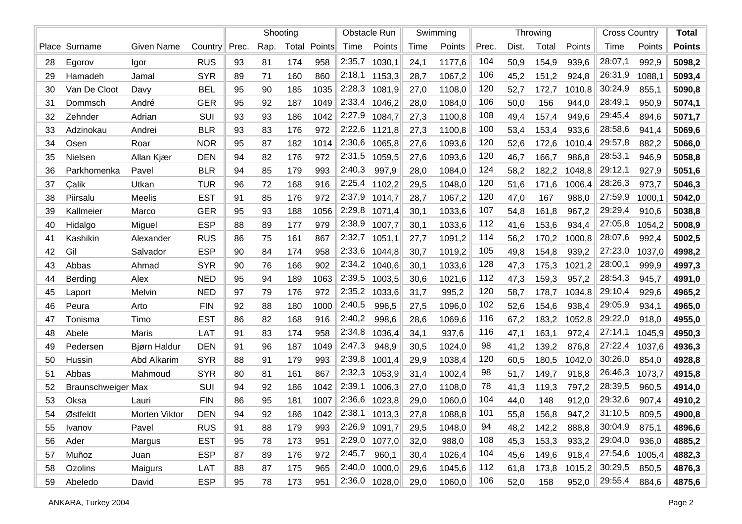|    |                           |                   |            |       |      | Shooting |        | Obstacle Run |                 | Swimming |        |       |       | Throwing |        | <b>Cross Country</b> | <b>Total</b> |               |
|----|---------------------------|-------------------|------------|-------|------|----------|--------|--------------|-----------------|----------|--------|-------|-------|----------|--------|----------------------|--------------|---------------|
|    | Place Surname             | <b>Given Name</b> | Country    | Prec. | Rap. | Total    | Points | Time         | Points          | Time     | Points | Prec. | Dist. | Total    | Points | Time                 | Points       | <b>Points</b> |
| 28 | Egorov                    | Igor              | <b>RUS</b> | 93    | 81   | 174      | 958    | 2:35,7       | 1030,1          | 24,1     | 1177,6 | 104   | 50,9  | 154,9    | 939,6  | 28:07,1              | 992,9        | 5098,2        |
| 29 | Hamadeh                   | Jamal             | <b>SYR</b> | 89    | 71   | 160      | 860    | 2:18,1       | 1153,3          | 28,7     | 1067,2 | 106   | 45,2  | 151,2    | 924,8  | 26:31,9              | 1088,1       | 5093,4        |
| 30 | Van De Cloot              | Davy              | <b>BEL</b> | 95    | 90   | 185      | 1035   | 2:28,3       | 1081,9          | 27,0     | 1108,0 | 120   | 52,7  | 172,7    | 1010,8 | 30:24,9              | 855,1        | 5090,8        |
| 31 | Dommsch                   | André             | <b>GER</b> | 95    | 92   | 187      | 1049   | 2:33,4       | 1046,2          | 28,0     | 1084,0 | 106   | 50,0  | 156      | 944,0  | 28:49,1              | 950,9        | 5074,1        |
| 32 | Zehnder                   | Adrian            | SUI        | 93    | 93   | 186      | 1042   | 2:27,9       | 1084,7          | 27,3     | 1100,8 | 108   | 49,4  | 157,4    | 949,6  | 29:45,4              | 894,6        | 5071,7        |
| 33 | Adzinokau                 | Andrei            | <b>BLR</b> | 93    | 83   | 176      | 972    | 2:22,6       | 1121,8          | 27,3     | 1100,8 | 100   | 53,4  | 153,4    | 933,6  | 28:58,6              | 941,4        | 5069,6        |
| 34 | Osen                      | Roar              | <b>NOR</b> | 95    | 87   | 182      | 1014   | 2:30,6       | 1065,8          | 27,6     | 1093,6 | 120   | 52,6  | 172,6    | 1010,4 | 29:57,8              | 882,2        | 5066,0        |
| 35 | Nielsen                   | Allan Kjær        | <b>DEN</b> | 94    | 82   | 176      | 972    | 2:31,5       | 1059,5          | 27,6     | 1093,6 | 120   | 46,7  | 166,7    | 986,8  | 28:53,1              | 946,9        | 5058,8        |
| 36 | Parkhomenka               | Pavel             | <b>BLR</b> | 94    | 85   | 179      | 993    | 2:40,3       | 997,9           | 28,0     | 1084,0 | 124   | 58,2  | 182,2    | 1048,8 | 29:12,1              | 927,9        | 5051,6        |
| 37 | Çalik                     | Utkan             | <b>TUR</b> | 96    | 72   | 168      | 916    | 2:25,4       | 1102,2          | 29,5     | 1048,0 | 120   | 51,6  | 171,6    | 1006,4 | 28:26,3              | 973,7        | 5046,3        |
| 38 | Piirsalu                  | Meelis            | <b>EST</b> | 91    | 85   | 176      | 972    | 2:37,9       | 1014,7          | 28,7     | 1067,2 | 120   | 47,0  | 167      | 988,0  | 27:59,9              | 1000,1       | 5042,0        |
| 39 | Kallmeier                 | Marco             | <b>GER</b> | 95    | 93   | 188      | 1056   | 2:29,8       | 1071,4          | 30,1     | 1033,6 | 107   | 54,8  | 161,8    | 967,2  | 29:29,4              | 910,6        | 5038,8        |
| 40 | Hidalgo                   | Miguel            | <b>ESP</b> | 88    | 89   | 177      | 979    | 2:38,9       | 1007,7          | 30,1     | 1033,6 | 112   | 41,6  | 153,6    | 934,4  | 27:05,8              | 1054,2       | 5008,9        |
| 41 | Kashikin                  | Alexander         | <b>RUS</b> | 86    | 75   | 161      | 867    | 2:32,7       | 1051,1          | 27,7     | 1091,2 | 114   | 56,2  | 170,2    | 1000,8 | 28:07,6              | 992,4        | 5002,5        |
| 42 | Gil                       | Salvador          | <b>ESP</b> | 90    | 84   | 174      | 958    | 2:33,6       | 1044,8          | 30,7     | 1019,2 | 105   | 49,8  | 154,8    | 939,2  | 27:23,0              | 1037,0       | 4998,2        |
| 43 | Abbas                     | Ahmad             | <b>SYR</b> | 90    | 76   | 166      | 902    | 2:34,2       | 1040,6          | 30,1     | 1033,6 | 128   | 47,3  | 175,3    | 1021,2 | 28:00,1              | 999,9        | 4997,3        |
| 44 | Berding                   | Alex              | <b>NED</b> | 95    | 94   | 189      | 1063   | 2:39,5       | 1003,5          | 30,6     | 1021,6 | 112   | 47,3  | 159,3    | 957,2  | 28:54,3              | 945,7        | 4991,0        |
| 45 | Laport                    | Melvin            | <b>NED</b> | 97    | 79   | 176      | 972    | 2:35,2       | 1033,6          | 31,7     | 995,2  | 120   | 58,7  | 178,7    | 1034,8 | 29:10,4              | 929,6        | 4965,2        |
| 46 | Peura                     | Arto              | <b>FIN</b> | 92    | 88   | 180      | 1000   | 2:40,5       | 996,5           | 27,5     | 1096,0 | 102   | 52,6  | 154,6    | 938,4  | 29:05,9              | 934,1        | 4965,0        |
| 47 | Tonisma                   | Timo              | <b>EST</b> | 86    | 82   | 168      | 916    | 2:40,2       | 998,6           | 28,6     | 1069,6 | 116   | 67,2  | 183,2    | 1052,8 | 29:22,0              | 918,0        | 4955,0        |
| 48 | Abele                     | Maris             | LAT        | 91    | 83   | 174      | 958    | 2:34,8       | 1036,4          | 34,1     | 937,6  | 116   | 47,1  | 163,1    | 972,4  | 27:14,1              | 1045,9       | 4950,3        |
| 49 | Pedersen                  | Bjørn Haldur      | <b>DEN</b> | 91    | 96   | 187      | 1049   | 2:47,3       | 948,9           | 30,5     | 1024,0 | 98    | 41,2  | 139,2    | 876,8  | 27:22,4              | 1037,6       | 4936,3        |
| 50 | Hussin                    | Abd Alkarim       | <b>SYR</b> | 88    | 91   | 179      | 993    | 2:39,8       | 1001,4          | 29,9     | 1038,4 | 120   | 60,5  | 180,5    | 1042,0 | 30:26,0              | 854,0        | 4928,8        |
| 51 | Abbas                     | Mahmoud           | <b>SYR</b> | 80    | 81   | 161      | 867    | 2:32,3       | 1053,9          | 31,4     | 1002,4 | 98    | 51,7  | 149,7    | 918,8  | 26:46,3              | 1073,7       | 4915,8        |
| 52 | <b>Braunschweiger Max</b> |                   | SUI        | 94    | 92   | 186      | 1042   | 2:39,1       | 1006,3          | 27,0     | 1108,0 | 78    | 41,3  | 119,3    | 797,2  | 28:39,5              | 960,5        | 4914,0        |
| 53 | Oksa                      | Lauri             | <b>FIN</b> | 86    | 95   | 181      | 1007   | 2:36,6       | 1023,8          | 29,0     | 1060,0 | 104   | 44,0  | 148      | 912,0  | 29:32,6              | 907,4        | 4910,2        |
| 54 | Østfeldt                  | Morten Viktor     | <b>DEN</b> | 94    | 92   | 186      | 1042   | 2:38,1       | 1013,3          | 27,8     | 1088,8 | 101   | 55,8  | 156,8    | 947,2  | 31:10,5              | 809,5        | 4900,8        |
| 55 | Ivanov                    | Pavel             | <b>RUS</b> | 91    | 88   | 179      | 993    | 2:26,9       | 1091,7          | 29,5     | 1048,0 | 94    | 48,2  | 142,2    | 888,8  | 30:04,9              | 875,1        | 4896,6        |
| 56 | Ader                      | Margus            | <b>EST</b> | 95    | 78   | 173      | 951    |              | 2:29,0 1077,0   | 32,0     | 988,0  | 108   | 45,3  | 153,3    | 933,2  | 29:04,0              | 936,0        | 4885,2        |
| 57 | Muñoz                     | Juan              | <b>ESP</b> | 87    | 89   | 176      | 972    | 2:45,7       | 960,1           | 30,4     | 1026,4 | 104   | 45,6  | 149,6    | 918,4  | 27:54,6              | 1005,4       | 4882,3        |
| 58 | Ozolins                   | Maigurs           | LAT        | 88    | 87   | 175      | 965    | 2:40,0       | 1000,0          | 29,6     | 1045,6 | 112   | 61,8  | 173,8    | 1015,2 | 30:29,5              | 850,5        | 4876,3        |
| 59 | Abeledo                   | David             | <b>ESP</b> | 95    | 78   | 173      | 951    |              | $2:36,0$ 1028,0 | 29,0     | 1060,0 | 106   | 52,0  | 158      | 952,0  | 29:55,4              | 884,6        | 4875,6        |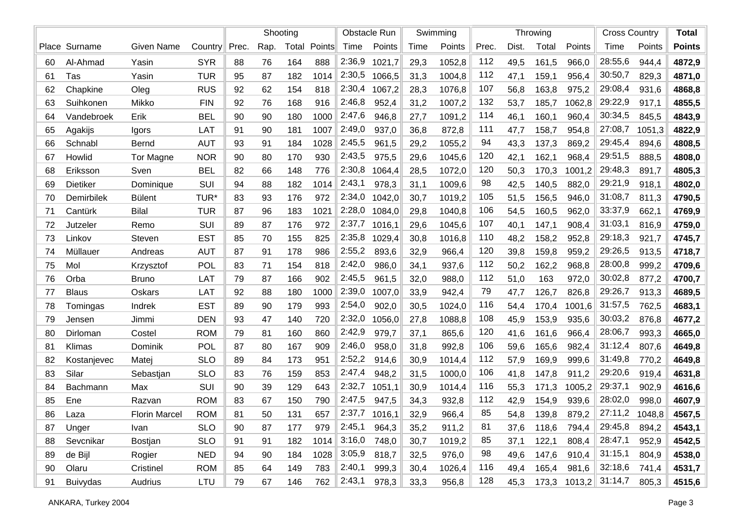|    |                 |                      |            |       |      | Shooting |        | <b>Obstacle Run</b> |        | Swimming |        |       |       | Throwing | <b>Cross Country</b> | <b>Total</b> |        |               |
|----|-----------------|----------------------|------------|-------|------|----------|--------|---------------------|--------|----------|--------|-------|-------|----------|----------------------|--------------|--------|---------------|
|    | Place Surname   | <b>Given Name</b>    | Country    | Prec. | Rap. | Total    | Points | Time                | Points | Time     | Points | Prec. | Dist. | Total    | Points               | Time         | Points | <b>Points</b> |
| 60 | Al-Ahmad        | Yasin                | <b>SYR</b> | 88    | 76   | 164      | 888    | 2:36,9              | 1021,7 | 29,3     | 1052,8 | 112   | 49,5  | 161,5    | 966,0                | 28:55,6      | 944,4  | 4872,9        |
| 61 | Tas             | Yasin                | <b>TUR</b> | 95    | 87   | 182      | 1014   | 2:30,5              | 1066,5 | 31,3     | 1004,8 | 112   | 47,1  | 159,1    | 956,4                | 30:50,7      | 829,3  | 4871,0        |
| 62 | Chapkine        | Oleg                 | <b>RUS</b> | 92    | 62   | 154      | 818    | 2:30,4              | 1067,2 | 28,3     | 1076,8 | 107   | 56,8  | 163,8    | 975,2                | 29:08,4      | 931,6  | 4868,8        |
| 63 | Suihkonen       | Mikko                | <b>FIN</b> | 92    | 76   | 168      | 916    | 2:46,8              | 952,4  | 31,2     | 1007,2 | 132   | 53,7  | 185,7    | 1062,8               | 29:22,9      | 917,1  | 4855,5        |
| 64 | Vandebroek      | Erik                 | <b>BEL</b> | 90    | 90   | 180      | 1000   | 2:47,6              | 946,8  | 27,7     | 1091,2 | 114   | 46,1  | 160,1    | 960,4                | 30:34,5      | 845,5  | 4843,9        |
| 65 | Agakijs         | Igors                | LAT        | 91    | 90   | 181      | 1007   | 2:49,0              | 937,0  | 36,8     | 872,8  | 111   | 47,7  | 158,7    | 954,8                | 27:08,7      | 1051,3 | 4822,9        |
| 66 | Schnabl         | <b>Bernd</b>         | <b>AUT</b> | 93    | 91   | 184      | 1028   | 2:45,5              | 961,5  | 29,2     | 1055,2 | 94    | 43,3  | 137,3    | 869,2                | 29:45,4      | 894,6  | 4808,5        |
| 67 | Howlid          | Tor Magne            | <b>NOR</b> | 90    | 80   | 170      | 930    | 2:43,5              | 975,5  | 29,6     | 1045,6 | 120   | 42,1  | 162,1    | 968,4                | 29:51,5      | 888,5  | 4808,0        |
| 68 | Eriksson        | Sven                 | <b>BEL</b> | 82    | 66   | 148      | 776    | 2:30,8              | 1064,4 | 28,5     | 1072,0 | 120   | 50,3  | 170,3    | 1001,2               | 29:48,3      | 891,7  | 4805,3        |
| 69 | Dietiker        | Dominique            | SUI        | 94    | 88   | 182      | 1014   | 2:43,1              | 978,3  | 31,1     | 1009,6 | 98    | 42,5  | 140,5    | 882,0                | 29:21,9      | 918,1  | 4802,0        |
| 70 | Demirbilek      | <b>Bülent</b>        | TUR*       | 83    | 93   | 176      | 972    | 2:34,0              | 1042,0 | 30,7     | 1019,2 | 105   | 51,5  | 156,5    | 946,0                | 31:08,7      | 811,3  | 4790,5        |
| 71 | Cantürk         | <b>Bilal</b>         | <b>TUR</b> | 87    | 96   | 183      | 1021   | 2:28,0              | 1084,0 | 29,8     | 1040,8 | 106   | 54,5  | 160,5    | 962,0                | 33:37,9      | 662,1  | 4769,9        |
| 72 | Jutzeler        | Remo                 | SUI        | 89    | 87   | 176      | 972    | 2:37,7              | 1016,1 | 29,6     | 1045,6 | 107   | 40,1  | 147,1    | 908,4                | 31:03,1      | 816,9  | 4759,0        |
| 73 | Linkov          | Steven               | <b>EST</b> | 85    | 70   | 155      | 825    | 2:35,8              | 1029,4 | 30,8     | 1016,8 | 110   | 48,2  | 158,2    | 952,8                | 29:18,3      | 921,7  | 4745,7        |
| 74 | Müllauer        | Andreas              | <b>AUT</b> | 87    | 91   | 178      | 986    | 2:55,2              | 893,6  | 32,9     | 966,4  | 120   | 39,8  | 159,8    | 959,2                | 29:26,5      | 913,5  | 4718,7        |
| 75 | Mol             | Krzysztof            | POL        | 83    | 71   | 154      | 818    | 2:42,0              | 986,0  | 34,1     | 937,6  | 112   | 50,2  | 162,2    | 968,8                | 28:00,8      | 999,2  | 4709,6        |
| 76 | Orba            | <b>Bruno</b>         | LAT        | 79    | 87   | 166      | 902    | 2:45,5              | 961,5  | 32,0     | 988,0  | 112   | 51,0  | 163      | 972,0                | 30:02,8      | 877,2  | 4700,7        |
| 77 | <b>Blaus</b>    | Oskars               | LAT        | 92    | 88   | 180      | 1000   | 2:39,0              | 1007,0 | 33,9     | 942,4  | 79    | 47,7  | 126,7    | 826,8                | 29:26,7      | 913,3  | 4689,5        |
| 78 | Tomingas        | Indrek               | <b>EST</b> | 89    | 90   | 179      | 993    | 2:54,0              | 902,0  | 30,5     | 1024,0 | 116   | 54,4  | 170,4    | 1001,6               | 31:57,5      | 762,5  | 4683,1        |
| 79 | Jensen          | Jimmi                | <b>DEN</b> | 93    | 47   | 140      | 720    | 2:32,0              | 1056,0 | 27,8     | 1088,8 | 108   | 45,9  | 153,9    | 935,6                | 30:03,2      | 876,8  | 4677,2        |
| 80 | Dirloman        | Costel               | <b>ROM</b> | 79    | 81   | 160      | 860    | 2:42,9              | 979,7  | 37,1     | 865,6  | 120   | 41,6  | 161,6    | 966,4                | 28:06,7      | 993,3  | 4665,0        |
| 81 | Klimas          | Dominik              | <b>POL</b> | 87    | 80   | 167      | 909    | 2:46,0              | 958,0  | 31,8     | 992,8  | 106   | 59,6  | 165,6    | 982,4                | 31:12,4      | 807,6  | 4649,8        |
| 82 | Kostanjevec     | Matej                | <b>SLO</b> | 89    | 84   | 173      | 951    | 2:52,2              | 914,6  | 30,9     | 1014,4 | 112   | 57,9  | 169,9    | 999,6                | 31:49,8      | 770,2  | 4649,8        |
| 83 | Silar           | Sebastjan            | <b>SLO</b> | 83    | 76   | 159      | 853    | 2:47,4              | 948,2  | 31,5     | 1000,0 | 106   | 41,8  | 147,8    | 911,2                | 29:20,6      | 919,4  | 4631,8        |
| 84 | Bachmann        | Max                  | SUI        | 90    | 39   | 129      | 643    | 2:32,7              | 1051,1 | 30,9     | 1014,4 | 116   | 55,3  | 171,3    | 1005,2               | 29:37,1      | 902,9  | 4616,6        |
| 85 | Ene             | Razvan               | <b>ROM</b> | 83    | 67   | 150      | 790    | 2:47,5              | 947,5  | 34,3     | 932,8  | 112   | 42,9  | 154,9    | 939,6                | 28:02,0      | 998,0  | 4607,9        |
| 86 | Laza            | <b>Florin Marcel</b> | <b>ROM</b> | 81    | 50   | 131      | 657    | 2:37,7              | 1016,1 | 32,9     | 966,4  | 85    | 54,8  | 139,8    | 879,2                | 27:11,2      | 1048,8 | 4567,5        |
| 87 | Unger           | Ivan                 | <b>SLO</b> | 90    | 87   | 177      | 979    | 2:45,1              | 964,3  | 35,2     | 911,2  | 81    | 37,6  | 118,6    | 794,4                | 29:45,8      | 894,2  | 4543,1        |
| 88 | Sevcnikar       | Bostjan              | <b>SLO</b> | 91    | 91   | 182      | 1014   | 3:16,0              | 748,0  | 30,7     | 1019,2 | 85    | 37,1  | 122,1    | 808,4                | 28:47,1      | 952,9  | 4542,5        |
| 89 | de Bijl         | Rogier               | <b>NED</b> | 94    | 90   | 184      | 1028   | 3:05,9              | 818,7  | 32,5     | 976,0  | 98    | 49,6  | 147,6    | 910,4                | 31:15,1      | 804,9  | 4538,0        |
| 90 | Olaru           | Cristinel            | <b>ROM</b> | 85    | 64   | 149      | 783    | 2:40,1              | 999,3  | 30,4     | 1026,4 | 116   | 49,4  | 165,4    | 981,6                | 32:18,6      | 741,4  | 4531,7        |
| 91 | <b>Buivydas</b> | Audrius              | LTU        | 79    | 67   | 146      | 762    | 2:43,1              | 978,3  | 33,3     | 956,8  | 128   | 45,3  |          | $173,3$ $1013,2$     | 31:14,7      | 805,3  | 4515,6        |